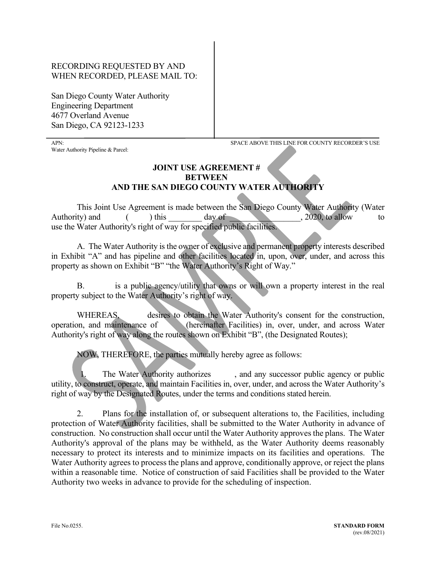## RECORDING REQUESTED BY AND WHEN RECORDED, PLEASE MAIL TO:

San Diego County Water Authority Engineering Department 4677 Overland Avenue San Diego, CA 92123-1233

֦

Water Authority Pipeline & Parcel:

APN: SPACE ABOVE THIS LINE FOR COUNTY RECORDER'S USE

## **JOINT USE AGREEMENT # BETWEEN AND THE SAN DIEGO COUNTY WATER AUTHORITY**

This Joint Use Agreement is made between the San Diego County Water Authority (Water Authority) and  $($   $)$  this day of  $.2020$ , to allow to use the Water Authority's right of way for specified public facilities.

A. The Water Authority is the owner of exclusive and permanent property interests described in Exhibit "A" and has pipeline and other facilities located in, upon, over, under, and across this property as shown on Exhibit "B" "the Water Authority's Right of Way."

B. is a public agency/utility that owns or will own a property interest in the real property subject to the Water Authority's right of way.

WHEREAS, desires to obtain the Water Authority's consent for the construction, operation, and maintenance of (hereinafter Facilities) in, over, under, and across Water Authority's right of way along the routes shown on Exhibit "B", (the Designated Routes);

NOW, THEREFORE, the parties mutually hereby agree as follows:

The Water Authority authorizes , and any successor public agency or public utility, to construct, operate, and maintain Facilities in, over, under, and across the Water Authority's right of way by the Designated Routes, under the terms and conditions stated herein.

2. Plans for the installation of, or subsequent alterations to, the Facilities, including protection of Water Authority facilities, shall be submitted to the Water Authority in advance of construction. No construction shall occur until the Water Authority approves the plans. The Water Authority's approval of the plans may be withheld, as the Water Authority deems reasonably necessary to protect its interests and to minimize impacts on its facilities and operations. The Water Authority agrees to process the plans and approve, conditionally approve, or reject the plans within a reasonable time. Notice of construction of said Facilities shall be provided to the Water Authority two weeks in advance to provide for the scheduling of inspection.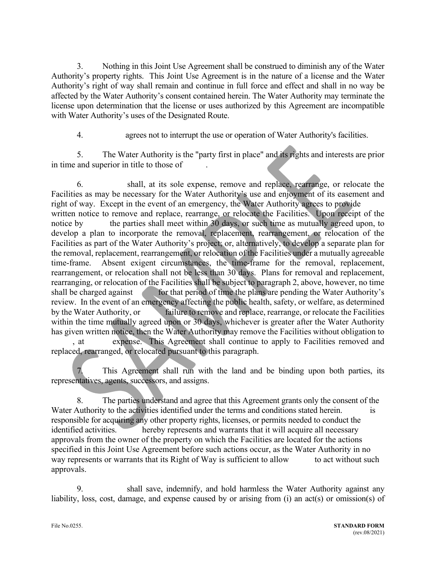3. Nothing in this Joint Use Agreement shall be construed to diminish any of the Water Authority's property rights. This Joint Use Agreement is in the nature of a license and the Water Authority's right of way shall remain and continue in full force and effect and shall in no way be affected by the Water Authority's consent contained herein. The Water Authority may terminate the license upon determination that the license or uses authorized by this Agreement are incompatible with Water Authority's uses of the Designated Route.

4. agrees not to interrupt the use or operation of Water Authority's facilities.

5. The Water Authority is the "party first in place" and its rights and interests are prior in time and superior in title to those of .

6. shall, at its sole expense, remove and replace, rearrange, or relocate the Facilities as may be necessary for the Water Authority's use and enjoyment of its easement and right of way. Except in the event of an emergency, the Water Authority agrees to provide written notice to remove and replace, rearrange, or relocate the Facilities. Upon receipt of the notice by the parties shall meet within 30 days, or such time as mutually agreed upon, to develop a plan to incorporate the removal, replacement, rearrangement, or relocation of the Facilities as part of the Water Authority's project; or, alternatively, to develop a separate plan for the removal, replacement, rearrangement, or relocation of the Facilities under a mutually agreeable time-frame. Absent exigent circumstances, the time-frame for the removal, replacement, rearrangement, or relocation shall not be less than 30 days. Plans for removal and replacement, rearranging, or relocation of the Facilities shall be subject to paragraph 2, above, however, no time shall be charged against for that period of time the plans are pending the Water Authority's review. In the event of an emergency affecting the public health, safety, or welfare, as determined by the Water Authority, or failure to remove and replace, rearrange, or relocate the Facilities within the time mutually agreed upon or 30 days, whichever is greater after the Water Authority has given written notice, then the Water Authority may remove the Facilities without obligation to , at expense. This Agreement shall continue to apply to Facilities removed and

replaced, rearranged, or relocated pursuant to this paragraph.

This Agreement shall run with the land and be binding upon both parties, its representatives, agents, successors, and assigns.

8. The parties understand and agree that this Agreement grants only the consent of the Water Authority to the activities identified under the terms and conditions stated herein. is responsible for acquiring any other property rights, licenses, or permits needed to conduct the identified activities. hereby represents and warrants that it will acquire all necessary approvals from the owner of the property on which the Facilities are located for the actions specified in this Joint Use Agreement before such actions occur, as the Water Authority in no way represents or warrants that its Right of Way is sufficient to allow to act without such approvals.

9. shall save, indemnify, and hold harmless the Water Authority against any liability, loss, cost, damage, and expense caused by or arising from (i) an act(s) or omission(s) of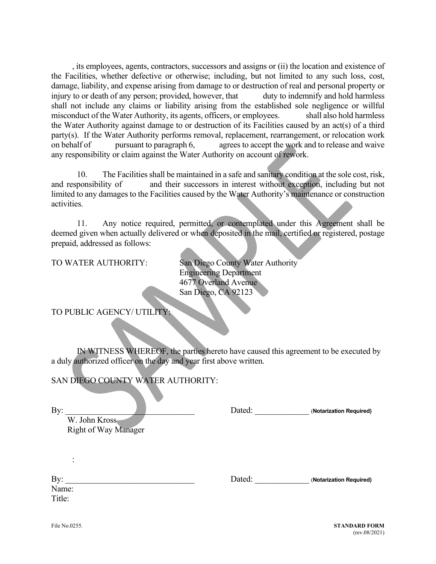, its employees, agents, contractors, successors and assigns or (ii) the location and existence of the Facilities, whether defective or otherwise; including, but not limited to any such loss, cost, damage, liability, and expense arising from damage to or destruction of real and personal property or injury to or death of any person; provided, however, that duty to indemnify and hold harmless shall not include any claims or liability arising from the established sole negligence or willful misconduct of the Water Authority, its agents, officers, or employees. shall also hold harmless the Water Authority against damage to or destruction of its Facilities caused by an act(s) of a third party(s). If the Water Authority performs removal, replacement, rearrangement, or relocation work on behalf of pursuant to paragraph 6, agrees to accept the work and to release and waive any responsibility or claim against the Water Authority on account of rework.

10. The Facilities shall be maintained in a safe and sanitary condition at the sole cost, risk, and responsibility of and their successors in interest without exception, including but not limited to any damages to the Facilities caused by the Water Authority's maintenance or construction activities.

11. Any notice required, permitted, or contemplated under this Agreement shall be deemed given when actually delivered or when deposited in the mail, certified or registered, postage prepaid, addressed as follows:

TO WATER AUTHORITY: San Diego County Water Authority Engineering Department 4677 Overland Avenue San Diego, CA 92123

TO PUBLIC AGENCY/ UTILITY:

IN WITNESS WHEREOF, the parties hereto have caused this agreement to be executed by a duly authorized officer on the day and year first above written.

SAN DIEGO COUNTY WATER AUTHORITY:

By: **Example 2.1 By**  $\Box$  **Dated: Contained (Notarization Required)** 

W. John Kross Right of Way Manager

By: **Example 2** Dated: **Constant 2** October 2 Apple 2 (**Notarization Required**)

Name: Title:

: